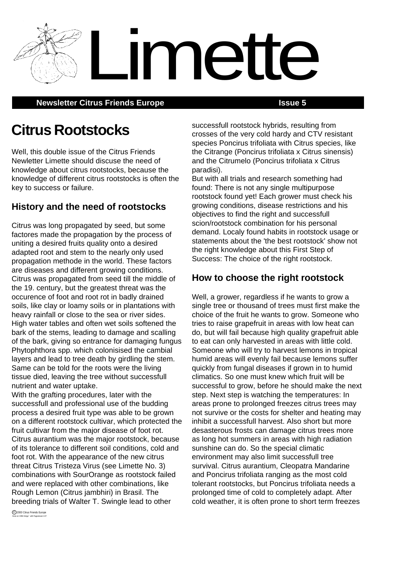**Newsletter Citrus Friends Europe <b>Issue 5 ISSUE 5** 

# **Citrus Rootstocks**

Well, this double issue of the Citrus Friends Newletter Limette should discuse the need of knowledge about citrus rootstocks, because the knowledge of different citrus rootstocks is often the key to success or failure.

# **History and the need of rootstocks**

Citrus was long propagated by seed, but some factores made the propagation by the process of uniting a desired fruits quality onto a desired adapted root and stem to the nearly only used propagation methode in the world. These factors are diseases and different growing conditions. Citrus was propagated from seed till the middle of the 19. century, but the greatest threat was the occurence of foot and root rot in badly drained soils, like clay or loamy soils or in plantations with heavy rainfall or close to the sea or river sides. High water tables and often wet soils softened the bark of the stems, leading to damage and scalling of the bark, giving so entrance for damaging fungus Phytophthora spp. which colonisised the cambial layers and lead to tree death by girdling the stem. Same can be told for the roots were the living tissue died, leaving the tree without successfull nutrient and water uptake.

With the grafting procedures, later with the successfull and professional use of the budding process a desired fruit type was able to be grown on a different rootstock cultivar, which protected the fruit cultivar from the major disease of foot rot. Citrus aurantium was the major rootstock, because of its tolerance to different soil conditions, cold and foot rot. With the appearance of the new citrus threat Citrus Tristeza Virus (see Limette No. 3) combinations with SourOrange as rootstock failed and were replaced with other combinations, like Rough Lemon (Citrus jambhiri) in Brasil. The breeding trials of Walter T. Swingle lead to other

successfull rootstock hybrids, resulting from crosses of the very cold hardy and CTV resistant species Poncirus trifoliata with Citrus species, like the Citrange (Poncirus trifoliata x Citrus sinensis) and the Citrumelo (Poncirus trifoliata x Citrus paradisi).

Limette

But with all trials and research something had found: There is not any single multipurpose rootstock found yet! Each grower must check his growing conditions, disease restrictions and his objectives to find the right and successfull scion/rootstock combination for his personal demand. Localy found habits in rootstock usage or statements about the 'the best rootstock' show not the right knowledge about this First Step of Success: The choice of the right rootstock.

# **How to choose the right rootstock**

Well, a grower, regardless if he wants to grow a single tree or thousand of trees must first make the choice of the fruit he wants to grow. Someone who tries to raise grapefruit in areas with low heat can do, but will fail because high quality grapefruit able to eat can only harvested in areas with little cold. Someone who will try to harvest lemons in tropical humid areas will evenly fail because lemons suffer quickly from fungal diseases if grown in to humid climatics. So one must knew which fruit will be successful to grow, before he should make the next step. Next step is watching the temperatures: In areas prone to prolonged freezes citrus trees may not survive or the costs for shelter and heating may inhibit a successfull harvest. Also short but more desasterous frosts can damage citrus trees more as long hot summers in areas with high radiation sunshine can do. So the special climatic environment may also limit successfull tree survival. Citrus aurantium, Cleopatra Mandarine and Poncirus trifoliata ranging as the most cold tolerant rootstocks, but Poncirus trifoliata needs a prolonged time of cold to completely adapt. After cold weather, it is often prone to short term freezes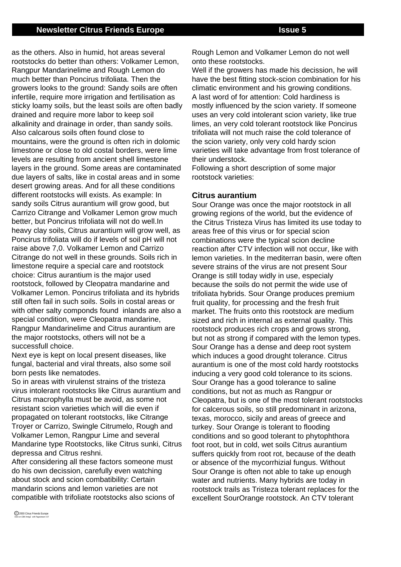as the others. Also in humid, hot areas several rootstocks do better than others: Volkamer Lemon, Rangpur Mandarinelime and Rough Lemon do much better than Poncirus trifoliata. Then the growers looks to the ground: Sandy soils are often infertile, require more irrigation and fertilisation as sticky loamy soils, but the least soils are often badly drained and require more labor to keep soil alkalinity and drainage in order, than sandy soils. Also calcarous soils often found close to mountains, were the ground is often rich in dolomic limestone or close to old costal borders, were lime levels are resulting from ancient shell limestone layers in the ground. Some areas are contaminated due layers of salts, like in costal areas and in some desert growing areas. And for all these conditions different rootstocks will exists. As example: In sandy soils Citrus aurantium will grow good, but Carrizo Citrange and Volkamer Lemon grow much better, but Poncirus trifoliata will not do well.In heavy clay soils, Citrus aurantium will grow well, as Poncirus trifoliata will do if levels of soil pH will not raise above 7,0. Volkamer Lemon and Carrizo Citrange do not well in these grounds. Soils rich in limestone require a special care and rootstock choice: Citrus aurantium is the major used rootstock, followed by Cleopatra mandarine and Volkamer Lemon. Poncirus trifoliata and its hybrids still often fail in such soils. Soils in costal areas or with other salty componds found inlands are also a special condition, were Cleopatra mandarine, Rangpur Mandarinelime and Citrus aurantium are the major rootstocks, others will not be a successfull choice.

Next eye is kept on local present diseases, like fungal, bacterial and viral threats, also some soil born pests like nematodes.

So in areas with virulenst strains of the tristeza virus intolerant rootstocks like Citrus aurantium and Citrus macrophylla must be avoid, as some not resistant scion varieties which will die even if propagated on tolerant rootstocks, like Citrange Troyer or Carrizo, Swingle Citrumelo, Rough and Volkamer Lemon, Rangpur Lime and several Mandarine type Rootstocks, like Citrus sunki, Citrus depressa and Citrus reshni.

After considering all these factors someone must do his own decission, carefully even watching about stock and scion combatibility: Certain mandarin scions and lemon varieties are not compatible with trifoliate rootstocks also scions of Rough Lemon and Volkamer Lemon do not well onto these rootstocks.

Well if the growers has made his decission, he will have the best fitting stock-scion combination for his climatic environment and his growing conditions. A last word of for attention: Cold hardiness is mostly influenced by the scion variety. If someone uses an very cold intolerant scion variety, like true limes, an very cold tolerant rootstock like Poncirus trifoliata will not much raise the cold tolerance of the scion variety, only very cold hardy scion varieties will take advantage from frost tolerance of their understock.

Following a short description of some major rootstock varieties:

#### **Citrus aurantium**

Sour Orange was once the major rootstock in all growing regions of the world, but the evidence of the Citrus Tristeza Virus has limited its use today to areas free of this virus or for special scion combinations were the typical scion decline reaction after CTV infection will not occur, like with lemon varieties. In the mediterran basin, were often severe strains of the virus are not present Sour Orange is still today widly in use, especialy because the soils do not permit the wide use of trifoliata hybrids. Sour Orange produces premium fruit quality, for processing and the fresh fruit market. The fruits onto this rootstock are medium sized and rich in internal as external quality. This rootstock produces rich crops and grows strong, but not as strong if compared with the lemon types. Sour Orange has a dense and deep root system which induces a good drought tolerance. Citrus aurantium is one of the most cold hardy rootstocks inducing a very good cold tolerance to its scions. Sour Orange has a good tolerance to saline conditions, but not as much as Rangpur or Cleopatra, but is one of the most tolerant rootstocks for calcerous soils, so still predominant in arizona, texas, morocco, sicily and areas of greece and turkey. Sour Orange is tolerant to flooding conditions and so good tolerant to phytophthora foot root, but in cold, wet soils Citrus aurantium suffers quickly from root rot, because of the death or absence of the mycorrhizial fungus. Without Sour Orange is often not able to take up enough water and nutrients. Many hybrids are today in rootstock trails as Tristeza tolerant replaces for the excellent SourOrange rootstock. An CTV tolerant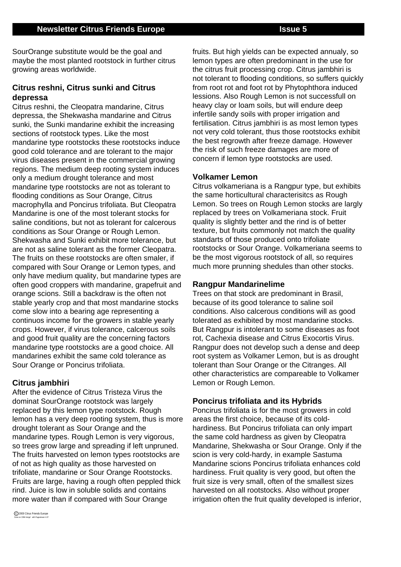SourOrange substitute would be the goal and maybe the most planted rootstock in further citrus growing areas worldwide.

### **Citrus reshni, Citrus sunki and Citrus depressa**

Citrus reshni, the Cleopatra mandarine, Citrus depressa, the Shekwasha mandarine and Citrus sunki, the Sunki mandarine exhibit the increasing sections of rootstock types. Like the most mandarine type rootstocks these rootstocks induce good cold tolerance and are tolerant to the major virus diseases present in the commercial growing regions. The medium deep rooting system induces only a medium drought tolerance and most mandarine type rootstocks are not as tolerant to flooding conditions as Sour Orange, Citrus macrophylla and Poncirus trifoliata. But Cleopatra Mandarine is one of the most tolerant stocks for saline conditions, but not as tolerant for calcerous conditions as Sour Orange or Rough Lemon. Shekwasha and Sunki exhibit more tolerance, but are not as saline tolerant as the former Cleopatra. The fruits on these rootstocks are often smaler, if compared with Sour Orange or Lemon types, and only have medium quality, but mandarine types are often good croppers with mandarine, grapefruit and orange scions. Still a backdraw is the often not stable yearly crop and that most mandarine stocks come slow into a bearing age representing a continuos income for the growers in stable yearly crops. However, if virus tolerance, calcerous soils and good fruit quality are the concerning factors mandarine type rootstocks are a good choice. All mandarines exhibit the same cold tolerance as Sour Orange or Poncirus trifoliata.

### **Citrus jambhiri**

After the evidence of Citrus Tristeza Virus the dominat SourOrange rootstock was largely replaced by this lemon type rootstock. Rough lemon has a very deep rooting system, thus is more drought tolerant as Sour Orange and the mandarine types. Rough Lemon is very vigorous, so trees grow large and spreading if left unpruned. The fruits harvested on lemon types rootstocks are of not as high quality as those harvested on trifoliate, mandarine or Sour Orange Rootstocks. Fruits are large, having a rough often peppled thick rind. Juice is low in soluble solids and contains more water than if compared with Sour Orange

fruits. But high yields can be expected annualy, so lemon types are often predominant in the use for the citrus fruit processing crop. Citrus jambhiri is not tolerant to flooding conditions, so suffers quickly from root rot and foot rot by Phytophthora induced lessions. Also Rough Lemon is not successfull on heavy clay or loam soils, but will endure deep infertile sandy soils with proper irrigation and fertilisation. Citrus jambhiri is as most lemon types not very cold tolerant, thus those rootstocks exhibit the best regrowth after freeze damage. However the risk of such freeze damages are more of concern if lemon type rootstocks are used.

#### **Volkamer Lemon**

Citrus volkameriana is a Rangpur type, but exhibits the same horticultural characterisitcs as Rough Lemon. So trees on Rough Lemon stocks are largly replaced by trees on Volkameriana stock. Fruit quality is slightly better and the rind is of better texture, but fruits commonly not match the quality standarts of those produced onto trifoliate rootstocks or Sour Orange. Volkameriana seems to be the most vigorous rootstock of all, so requires much more prunning shedules than other stocks.

#### **Rangpur Mandarinelime**

Trees on that stock are predominant in Brasil, because of its good tolerance to saline soil conditions. Also calcerous conditions will as good tolerated as exhibited by most mandarine stocks. But Rangpur is intolerant to some diseases as foot rot, Cachexia disease and Citrus Exocortis Virus. Rangpur does not develop such a dense and deep root system as Volkamer Lemon, but is as drought tolerant than Sour Orange or the Citranges. All other characteristics are compareable to Volkamer Lemon or Rough Lemon.

#### **Poncirus trifoliata and its Hybrids**

Poncirus trifoliata is for the most growers in cold areas the first choice, because of its coldhardiness. But Poncirus trifoliata can only impart the same cold hardness as given by Cleopatra Mandarine, Shekwasha or Sour Orange. Only if the scion is very cold-hardy, in example Sastuma Mandarine scions Poncirus trifoliata enhances cold hardiness. Fruit quality is very good, but often the fruit size is very small, often of the smallest sizes harvested on all rootstocks. Also without proper irrigation often the fruit quality developed is inferior,